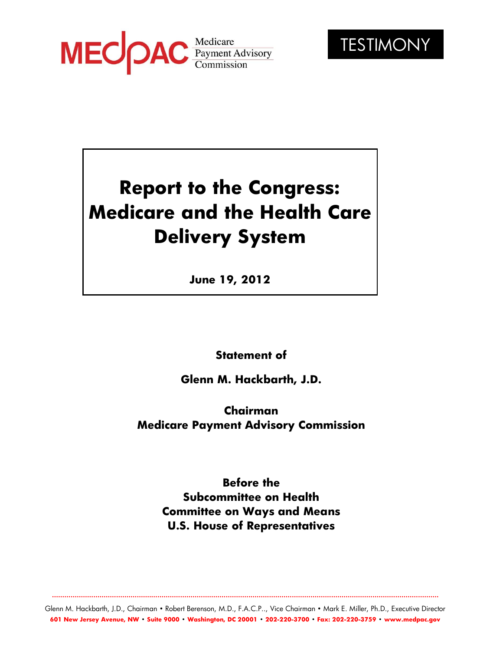



# **Report to the Congress: Medicare and the Health Care Delivery System**

**June 19, 2012**

**Statement of**

**Glenn M. Hackbarth, J.D.**

**Chairman Medicare Payment Advisory Commission**

> **Before the Subcommittee on Health Committee on Ways and Means U.S. House of Representatives**

Glenn M. Hackbarth, J.D., Chairman • Robert Berenson, M.D., F.A.C.P.., Vice Chairman • Mark E. Miller, Ph.D., Executive Director **601 New Jersey Avenue, NW • Suite 9000 • Washington, DC 20001 • 202-220-3700 • Fax: 202-220-3759 • [www.medpac.gov](http://www.medpac.gov/)**

**...........................................................................................................................................................................................**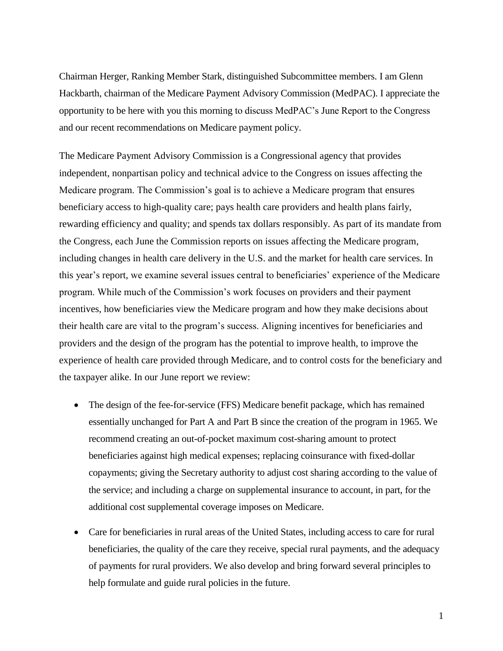Chairman Herger, Ranking Member Stark, distinguished Subcommittee members. I am Glenn Hackbarth, chairman of the Medicare Payment Advisory Commission (MedPAC). I appreciate the opportunity to be here with you this morning to discuss MedPAC's June Report to the Congress and our recent recommendations on Medicare payment policy.

The Medicare Payment Advisory Commission is a Congressional agency that provides independent, nonpartisan policy and technical advice to the Congress on issues affecting the Medicare program. The Commission's goal is to achieve a Medicare program that ensures beneficiary access to high-quality care; pays health care providers and health plans fairly, rewarding efficiency and quality; and spends tax dollars responsibly. As part of its mandate from the Congress, each June the Commission reports on issues affecting the Medicare program, including changes in health care delivery in the U.S. and the market for health care services. In this year's report, we examine several issues central to beneficiaries' experience of the Medicare program. While much of the Commission's work focuses on providers and their payment incentives, how beneficiaries view the Medicare program and how they make decisions about their health care are vital to the program's success. Aligning incentives for beneficiaries and providers and the design of the program has the potential to improve health, to improve the experience of health care provided through Medicare, and to control costs for the beneficiary and the taxpayer alike. In our June report we review:

- The design of the fee-for-service (FFS) Medicare benefit package, which has remained essentially unchanged for Part A and Part B since the creation of the program in 1965. We recommend creating an out-of-pocket maximum cost-sharing amount to protect beneficiaries against high medical expenses; replacing coinsurance with fixed-dollar copayments; giving the Secretary authority to adjust cost sharing according to the value of the service; and including a charge on supplemental insurance to account, in part, for the additional cost supplemental coverage imposes on Medicare.
- Care for beneficiaries in rural areas of the United States, including access to care for rural beneficiaries, the quality of the care they receive, special rural payments, and the adequacy of payments for rural providers. We also develop and bring forward several principles to help formulate and guide rural policies in the future.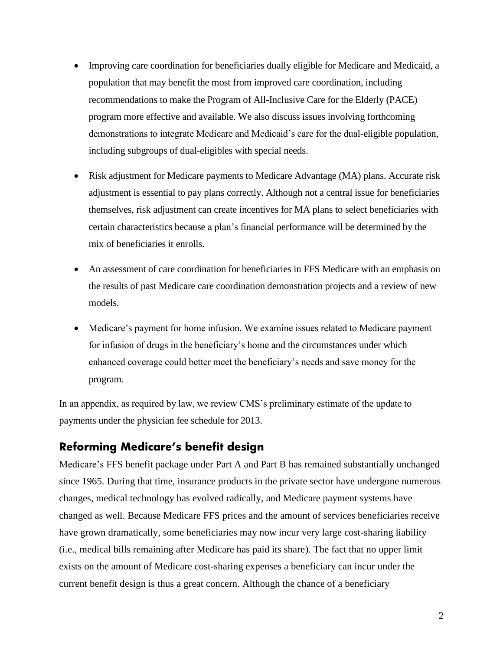- Improving care coordination for beneficiaries dually eligible for Medicare and Medicaid, a population that may benefit the most from improved care coordination, including recommendations to make the Program of All-Inclusive Care for the Elderly (PACE) program more effective and available. We also discuss issues involving forthcoming demonstrations to integrate Medicare and Medicaid's care for the dual-eligible population, including subgroups of dual-eligibles with special needs.
- Risk adjustment for Medicare payments to Medicare Advantage (MA) plans. Accurate risk adjustment is essential to pay plans correctly. Although not a central issue for beneficiaries themselves, risk adjustment can create incentives for MA plans to select beneficiaries with certain characteristics because a plan's financial performance will be determined by the mix of beneficiaries it enrolls.
- An assessment of care coordination for beneficiaries in FFS Medicare with an emphasis on the results of past Medicare care coordination demonstration projects and a review of new models.
- Medicare's payment for home infusion. We examine issues related to Medicare payment for infusion of drugs in the beneficiary's home and the circumstances under which enhanced coverage could better meet the beneficiary's needs and save money for the program.

In an appendix, as required by law, we review CMS's preliminary estimate of the update to payments under the physician fee schedule for 2013.

# **Reforming Medicare's benefit design**

Medicare's FFS benefit package under Part A and Part B has remained substantially unchanged since 1965. During that time, insurance products in the private sector have undergone numerous changes, medical technology has evolved radically, and Medicare payment systems have changed as well. Because Medicare FFS prices and the amount of services beneficiaries receive have grown dramatically, some beneficiaries may now incur very large cost-sharing liability (i.e., medical bills remaining after Medicare has paid its share). The fact that no upper limit exists on the amount of Medicare cost-sharing expenses a beneficiary can incur under the current benefit design is thus a great concern. Although the chance of a beneficiary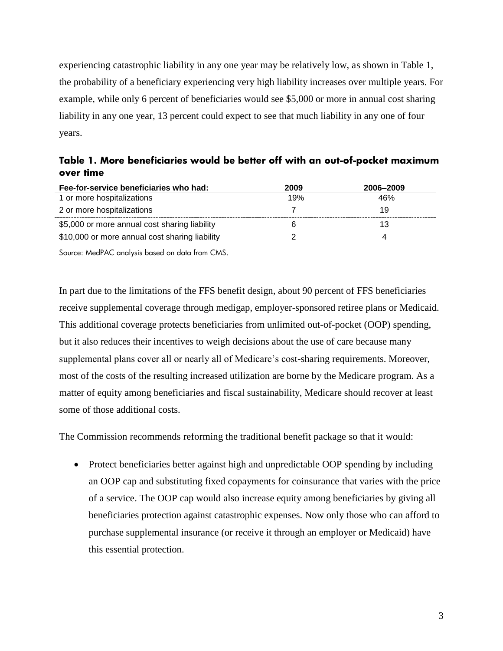experiencing catastrophic liability in any one year may be relatively low, as shown in Table 1, the probability of a beneficiary experiencing very high liability increases over multiple years. For example, while only 6 percent of beneficiaries would see \$5,000 or more in annual cost sharing liability in any one year, 13 percent could expect to see that much liability in any one of four years.

**Table 1. More beneficiaries would be better off with an out-of-pocket maximum over time**

| Fee-for-service beneficiaries who had:         | 2009 | 2006–2009 |
|------------------------------------------------|------|-----------|
| 1 or more hospitalizations                     | 19%  | 46%       |
| 2 or more hospitalizations                     |      | 19        |
| \$5,000 or more annual cost sharing liability  |      | 13        |
| \$10,000 or more annual cost sharing liability |      |           |

Source: MedPAC analysis based on data from CMS.

In part due to the limitations of the FFS benefit design, about 90 percent of FFS beneficiaries receive supplemental coverage through medigap, employer-sponsored retiree plans or Medicaid. This additional coverage protects beneficiaries from unlimited out-of-pocket (OOP) spending, but it also reduces their incentives to weigh decisions about the use of care because many supplemental plans cover all or nearly all of Medicare's cost-sharing requirements. Moreover, most of the costs of the resulting increased utilization are borne by the Medicare program. As a matter of equity among beneficiaries and fiscal sustainability, Medicare should recover at least some of those additional costs.

The Commission recommends reforming the traditional benefit package so that it would:

• Protect beneficiaries better against high and unpredictable OOP spending by including an OOP cap and substituting fixed copayments for coinsurance that varies with the price of a service. The OOP cap would also increase equity among beneficiaries by giving all beneficiaries protection against catastrophic expenses. Now only those who can afford to purchase supplemental insurance (or receive it through an employer or Medicaid) have this essential protection.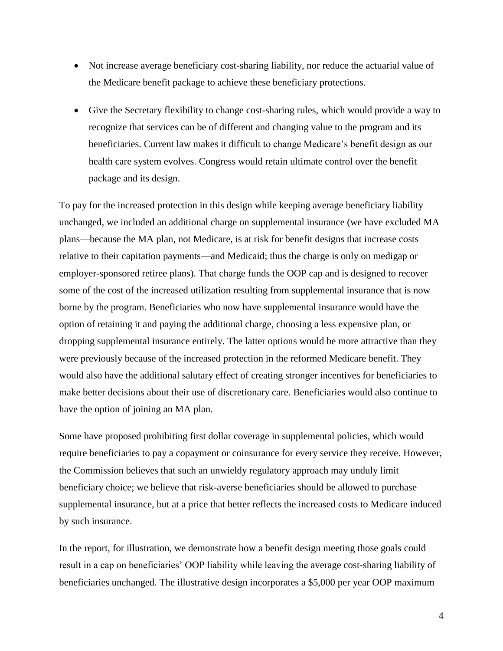- Not increase average beneficiary cost-sharing liability, nor reduce the actuarial value of the Medicare benefit package to achieve these beneficiary protections.
- Give the Secretary flexibility to change cost-sharing rules, which would provide a way to recognize that services can be of different and changing value to the program and its beneficiaries. Current law makes it difficult to change Medicare's benefit design as our health care system evolves. Congress would retain ultimate control over the benefit package and its design.

To pay for the increased protection in this design while keeping average beneficiary liability unchanged, we included an additional charge on supplemental insurance (we have excluded MA plans—because the MA plan, not Medicare, is at risk for benefit designs that increase costs relative to their capitation payments—and Medicaid; thus the charge is only on medigap or employer-sponsored retiree plans). That charge funds the OOP cap and is designed to recover some of the cost of the increased utilization resulting from supplemental insurance that is now borne by the program. Beneficiaries who now have supplemental insurance would have the option of retaining it and paying the additional charge, choosing a less expensive plan, or dropping supplemental insurance entirely. The latter options would be more attractive than they were previously because of the increased protection in the reformed Medicare benefit. They would also have the additional salutary effect of creating stronger incentives for beneficiaries to make better decisions about their use of discretionary care. Beneficiaries would also continue to have the option of joining an MA plan.

Some have proposed prohibiting first dollar coverage in supplemental policies, which would require beneficiaries to pay a copayment or coinsurance for every service they receive. However, the Commission believes that such an unwieldy regulatory approach may unduly limit beneficiary choice; we believe that risk-averse beneficiaries should be allowed to purchase supplemental insurance, but at a price that better reflects the increased costs to Medicare induced by such insurance.

In the report, for illustration, we demonstrate how a benefit design meeting those goals could result in a cap on beneficiaries' OOP liability while leaving the average cost-sharing liability of beneficiaries unchanged. The illustrative design incorporates a \$5,000 per year OOP maximum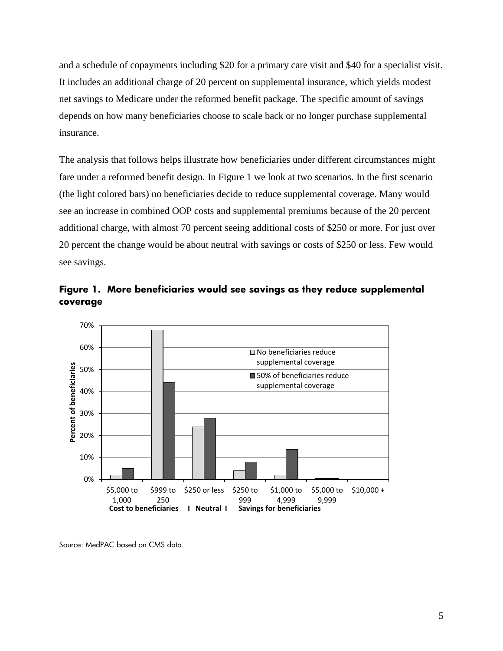and a schedule of copayments including \$20 for a primary care visit and \$40 for a specialist visit. It includes an additional charge of 20 percent on supplemental insurance, which yields modest net savings to Medicare under the reformed benefit package. The specific amount of savings depends on how many beneficiaries choose to scale back or no longer purchase supplemental insurance.

The analysis that follows helps illustrate how beneficiaries under different circumstances might fare under a reformed benefit design. In Figure 1 we look at two scenarios. In the first scenario (the light colored bars) no beneficiaries decide to reduce supplemental coverage. Many would see an increase in combined OOP costs and supplemental premiums because of the 20 percent additional charge, with almost 70 percent seeing additional costs of \$250 or more. For just over 20 percent the change would be about neutral with savings or costs of \$250 or less. Few would see savings.





Source: MedPAC based on CMS data.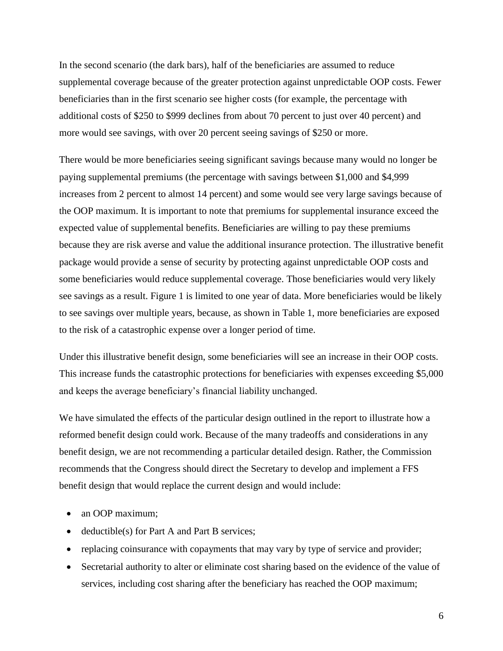In the second scenario (the dark bars), half of the beneficiaries are assumed to reduce supplemental coverage because of the greater protection against unpredictable OOP costs. Fewer beneficiaries than in the first scenario see higher costs (for example, the percentage with additional costs of \$250 to \$999 declines from about 70 percent to just over 40 percent) and more would see savings, with over 20 percent seeing savings of \$250 or more.

There would be more beneficiaries seeing significant savings because many would no longer be paying supplemental premiums (the percentage with savings between \$1,000 and \$4,999 increases from 2 percent to almost 14 percent) and some would see very large savings because of the OOP maximum. It is important to note that premiums for supplemental insurance exceed the expected value of supplemental benefits. Beneficiaries are willing to pay these premiums because they are risk averse and value the additional insurance protection. The illustrative benefit package would provide a sense of security by protecting against unpredictable OOP costs and some beneficiaries would reduce supplemental coverage. Those beneficiaries would very likely see savings as a result. Figure 1 is limited to one year of data. More beneficiaries would be likely to see savings over multiple years, because, as shown in Table 1, more beneficiaries are exposed to the risk of a catastrophic expense over a longer period of time.

Under this illustrative benefit design, some beneficiaries will see an increase in their OOP costs. This increase funds the catastrophic protections for beneficiaries with expenses exceeding \$5,000 and keeps the average beneficiary's financial liability unchanged.

We have simulated the effects of the particular design outlined in the report to illustrate how a reformed benefit design could work. Because of the many tradeoffs and considerations in any benefit design, we are not recommending a particular detailed design. Rather, the Commission recommends that the Congress should direct the Secretary to develop and implement a FFS benefit design that would replace the current design and would include:

- an OOP maximum;
- deductible(s) for Part A and Part B services;
- replacing coinsurance with copayments that may vary by type of service and provider;
- Secretarial authority to alter or eliminate cost sharing based on the evidence of the value of services, including cost sharing after the beneficiary has reached the OOP maximum;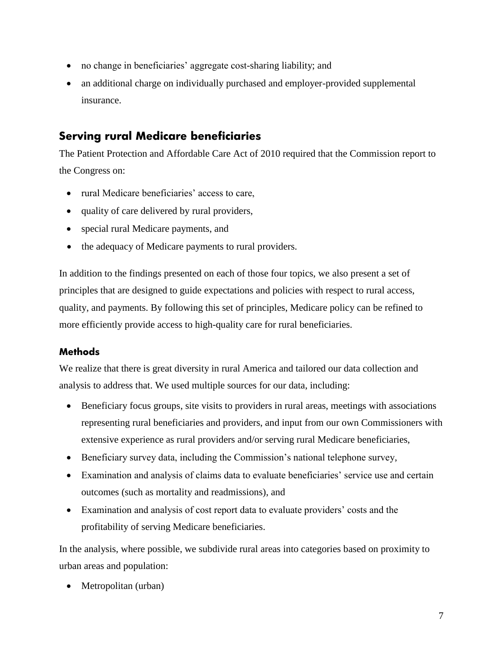- no change in beneficiaries' aggregate cost-sharing liability; and
- an additional charge on individually purchased and employer-provided supplemental insurance.

# **Serving rural Medicare beneficiaries**

The Patient Protection and Affordable Care Act of 2010 required that the Commission report to the Congress on:

- rural Medicare beneficiaries' access to care,
- quality of care delivered by rural providers,
- special rural Medicare payments, and
- the adequacy of Medicare payments to rural providers.

In addition to the findings presented on each of those four topics, we also present a set of principles that are designed to guide expectations and policies with respect to rural access, quality, and payments. By following this set of principles, Medicare policy can be refined to more efficiently provide access to high-quality care for rural beneficiaries.

### **Methods**

We realize that there is great diversity in rural America and tailored our data collection and analysis to address that. We used multiple sources for our data, including:

- Beneficiary focus groups, site visits to providers in rural areas, meetings with associations representing rural beneficiaries and providers, and input from our own Commissioners with extensive experience as rural providers and/or serving rural Medicare beneficiaries,
- Beneficiary survey data, including the Commission's national telephone survey,
- Examination and analysis of claims data to evaluate beneficiaries' service use and certain outcomes (such as mortality and readmissions), and
- Examination and analysis of cost report data to evaluate providers' costs and the profitability of serving Medicare beneficiaries.

In the analysis, where possible, we subdivide rural areas into categories based on proximity to urban areas and population:

• Metropolitan (urban)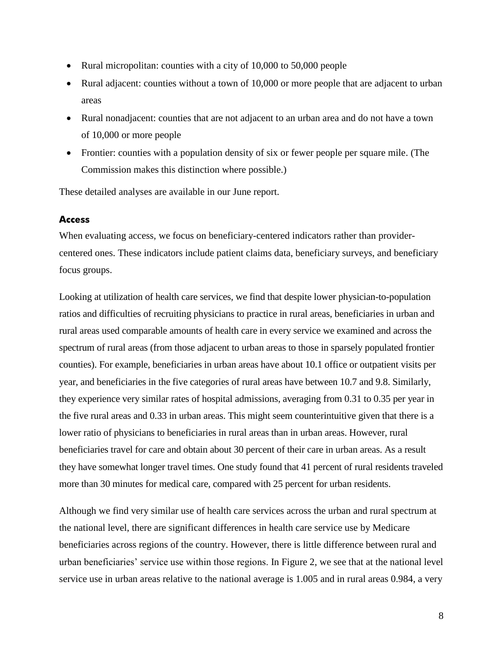- Rural micropolitan: counties with a city of 10,000 to 50,000 people
- Rural adjacent: counties without a town of 10,000 or more people that are adjacent to urban areas
- Rural nonadjacent: counties that are not adjacent to an urban area and do not have a town of 10,000 or more people
- Frontier: counties with a population density of six or fewer people per square mile. (The Commission makes this distinction where possible.)

These detailed analyses are available in our June report.

#### **Access**

When evaluating access, we focus on beneficiary-centered indicators rather than providercentered ones. These indicators include patient claims data, beneficiary surveys, and beneficiary focus groups.

Looking at utilization of health care services, we find that despite lower physician-to-population ratios and difficulties of recruiting physicians to practice in rural areas, beneficiaries in urban and rural areas used comparable amounts of health care in every service we examined and across the spectrum of rural areas (from those adjacent to urban areas to those in sparsely populated frontier counties). For example, beneficiaries in urban areas have about 10.1 office or outpatient visits per year, and beneficiaries in the five categories of rural areas have between 10.7 and 9.8. Similarly, they experience very similar rates of hospital admissions, averaging from 0.31 to 0.35 per year in the five rural areas and 0.33 in urban areas. This might seem counterintuitive given that there is a lower ratio of physicians to beneficiaries in rural areas than in urban areas. However, rural beneficiaries travel for care and obtain about 30 percent of their care in urban areas. As a result they have somewhat longer travel times. One study found that 41 percent of rural residents traveled more than 30 minutes for medical care, compared with 25 percent for urban residents.

Although we find very similar use of health care services across the urban and rural spectrum at the national level, there are significant differences in health care service use by Medicare beneficiaries across regions of the country. However, there is little difference between rural and urban beneficiaries' service use within those regions. In Figure 2, we see that at the national level service use in urban areas relative to the national average is 1.005 and in rural areas 0.984, a very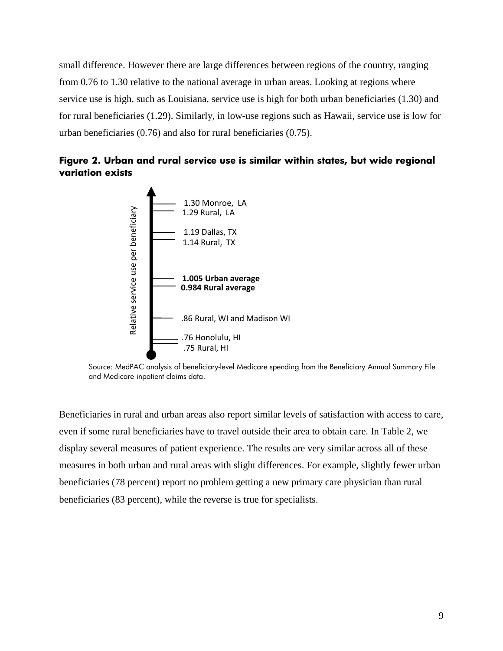small difference. However there are large differences between regions of the country, ranging from 0.76 to 1.30 relative to the national average in urban areas. Looking at regions where service use is high, such as Louisiana, service use is high for both urban beneficiaries (1.30) and for rural beneficiaries (1.29). Similarly, in low-use regions such as Hawaii, service use is low for urban beneficiaries (0.76) and also for rural beneficiaries (0.75).





Source: MedPAC analysis of beneficiary-level Medicare spending from the Beneficiary Annual Summary File and Medicare inpatient claims data.

Beneficiaries in rural and urban areas also report similar levels of satisfaction with access to care, even if some rural beneficiaries have to travel outside their area to obtain care. In Table 2, we display several measures of patient experience. The results are very similar across all of these measures in both urban and rural areas with slight differences. For example, slightly fewer urban beneficiaries (78 percent) report no problem getting a new primary care physician than rural beneficiaries (83 percent), while the reverse is true for specialists.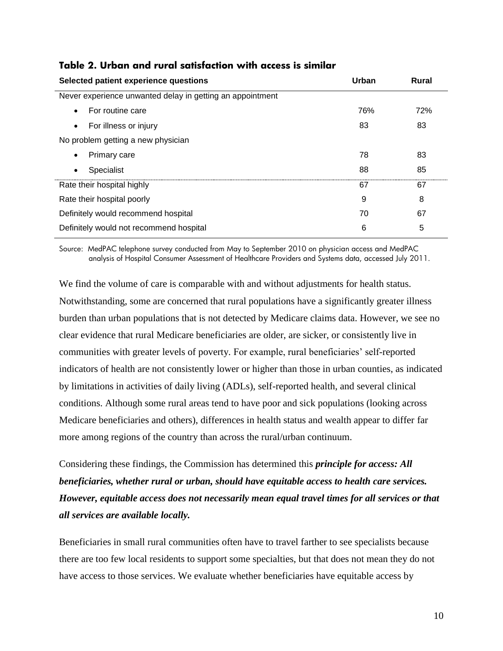| Selected patient experience questions                     | Urban | Rural |
|-----------------------------------------------------------|-------|-------|
| Never experience unwanted delay in getting an appointment |       |       |
| For routine care<br>$\bullet$                             | 76%   | 72%   |
| For illness or injury<br>$\bullet$                        | 83    | 83    |
| No problem getting a new physician                        |       |       |
| Primary care<br>$\bullet$                                 | 78    | 83    |
| Specialist<br>$\bullet$                                   | 88    | 85    |
| Rate their hospital highly                                | 67    | 67    |
| Rate their hospital poorly                                | 9     | 8     |
| Definitely would recommend hospital                       | 70    | 67    |
| Definitely would not recommend hospital                   | 6     | 5     |

#### **Table 2. Urban and rural satisfaction with access is similar**

Source: MedPAC telephone survey conducted from May to September 2010 on physician access and MedPAC analysis of Hospital Consumer Assessment of Healthcare Providers and Systems data, accessed July 2011.

We find the volume of care is comparable with and without adjustments for health status. Notwithstanding, some are concerned that rural populations have a significantly greater illness burden than urban populations that is not detected by Medicare claims data. However, we see no clear evidence that rural Medicare beneficiaries are older, are sicker, or consistently live in communities with greater levels of poverty. For example, rural beneficiaries' self-reported indicators of health are not consistently lower or higher than those in urban counties, as indicated by limitations in activities of daily living (ADLs), self-reported health, and several clinical conditions. Although some rural areas tend to have poor and sick populations (looking across Medicare beneficiaries and others), differences in health status and wealth appear to differ far more among regions of the country than across the rural/urban continuum.

Considering these findings, the Commission has determined this *principle for access: All beneficiaries, whether rural or urban, should have equitable access to health care services. However, equitable access does not necessarily mean equal travel times for all services or that all services are available locally.* 

Beneficiaries in small rural communities often have to travel farther to see specialists because there are too few local residents to support some specialties, but that does not mean they do not have access to those services. We evaluate whether beneficiaries have equitable access by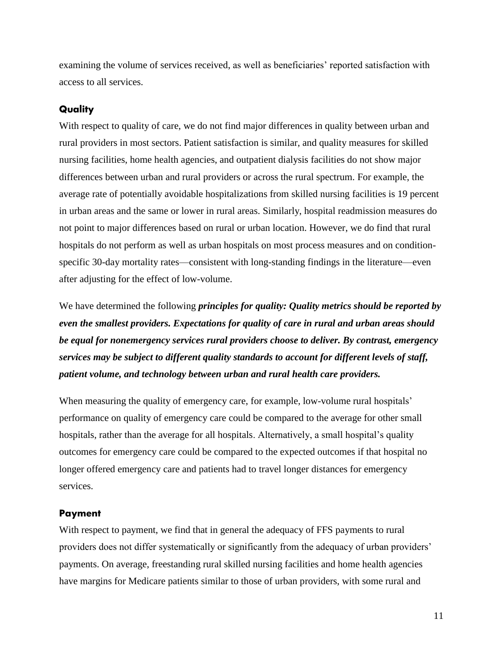examining the volume of services received, as well as beneficiaries' reported satisfaction with access to all services.

#### **Quality**

With respect to quality of care, we do not find major differences in quality between urban and rural providers in most sectors. Patient satisfaction is similar, and quality measures for skilled nursing facilities, home health agencies, and outpatient dialysis facilities do not show major differences between urban and rural providers or across the rural spectrum. For example, the average rate of potentially avoidable hospitalizations from skilled nursing facilities is 19 percent in urban areas and the same or lower in rural areas. Similarly, hospital readmission measures do not point to major differences based on rural or urban location. However, we do find that rural hospitals do not perform as well as urban hospitals on most process measures and on conditionspecific 30-day mortality rates—consistent with long-standing findings in the literature—even after adjusting for the effect of low-volume.

We have determined the following *principles for quality: Quality metrics should be reported by even the smallest providers. Expectations for quality of care in rural and urban areas should be equal for nonemergency services rural providers choose to deliver. By contrast, emergency services may be subject to different quality standards to account for different levels of staff, patient volume, and technology between urban and rural health care providers.* 

When measuring the quality of emergency care, for example, low-volume rural hospitals' performance on quality of emergency care could be compared to the average for other small hospitals, rather than the average for all hospitals. Alternatively, a small hospital's quality outcomes for emergency care could be compared to the expected outcomes if that hospital no longer offered emergency care and patients had to travel longer distances for emergency services.

#### **Payment**

With respect to payment, we find that in general the adequacy of FFS payments to rural providers does not differ systematically or significantly from the adequacy of urban providers' payments. On average, freestanding rural skilled nursing facilities and home health agencies have margins for Medicare patients similar to those of urban providers, with some rural and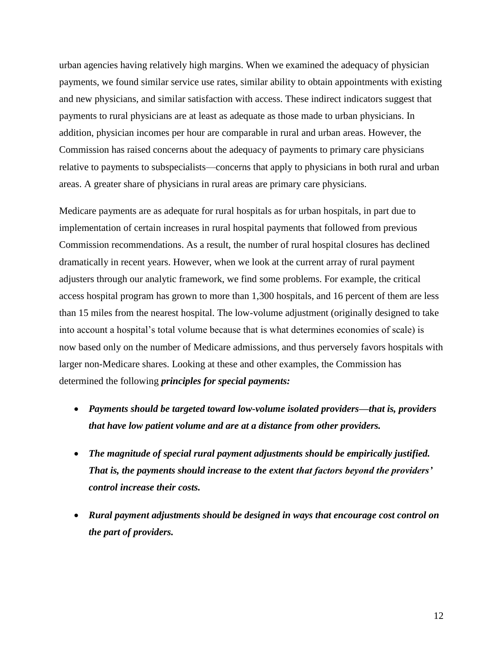urban agencies having relatively high margins. When we examined the adequacy of physician payments, we found similar service use rates, similar ability to obtain appointments with existing and new physicians, and similar satisfaction with access. These indirect indicators suggest that payments to rural physicians are at least as adequate as those made to urban physicians. In addition, physician incomes per hour are comparable in rural and urban areas. However, the Commission has raised concerns about the adequacy of payments to primary care physicians relative to payments to subspecialists—concerns that apply to physicians in both rural and urban areas. A greater share of physicians in rural areas are primary care physicians.

Medicare payments are as adequate for rural hospitals as for urban hospitals, in part due to implementation of certain increases in rural hospital payments that followed from previous Commission recommendations. As a result, the number of rural hospital closures has declined dramatically in recent years. However, when we look at the current array of rural payment adjusters through our analytic framework, we find some problems. For example, the critical access hospital program has grown to more than 1,300 hospitals, and 16 percent of them are less than 15 miles from the nearest hospital. The low-volume adjustment (originally designed to take into account a hospital's total volume because that is what determines economies of scale) is now based only on the number of Medicare admissions, and thus perversely favors hospitals with larger non-Medicare shares. Looking at these and other examples, the Commission has determined the following *principles for special payments:*

- *Payments should be targeted toward low-volume isolated providers—that is, providers that have low patient volume and are at a distance from other providers.*
- *The magnitude of special rural payment adjustments should be empirically justified. That is, the payments should increase to the extent that factors beyond the providers' control increase their costs.*
- *Rural payment adjustments should be designed in ways that encourage cost control on the part of providers.*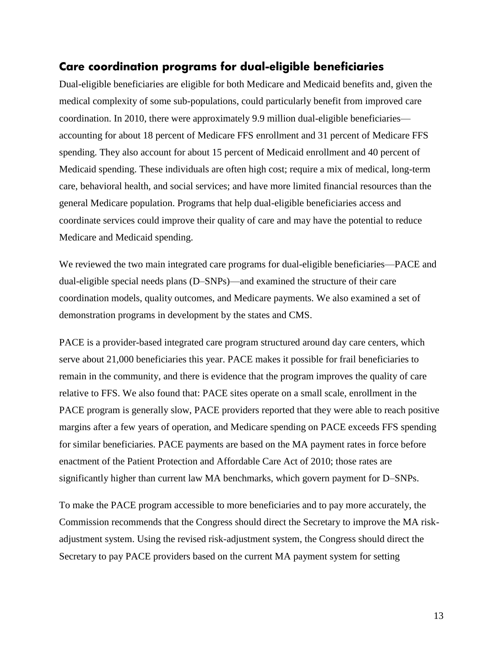## **Care coordination programs for dual-eligible beneficiaries**

Dual-eligible beneficiaries are eligible for both Medicare and Medicaid benefits and, given the medical complexity of some sub-populations, could particularly benefit from improved care coordination. In 2010, there were approximately 9.9 million dual-eligible beneficiaries accounting for about 18 percent of Medicare FFS enrollment and 31 percent of Medicare FFS spending. They also account for about 15 percent of Medicaid enrollment and 40 percent of Medicaid spending. These individuals are often high cost; require a mix of medical, long-term care, behavioral health, and social services; and have more limited financial resources than the general Medicare population. Programs that help dual-eligible beneficiaries access and coordinate services could improve their quality of care and may have the potential to reduce Medicare and Medicaid spending.

We reviewed the two main integrated care programs for dual-eligible beneficiaries—PACE and dual-eligible special needs plans (D–SNPs)—and examined the structure of their care coordination models, quality outcomes, and Medicare payments. We also examined a set of demonstration programs in development by the states and CMS.

PACE is a provider-based integrated care program structured around day care centers, which serve about 21,000 beneficiaries this year. PACE makes it possible for frail beneficiaries to remain in the community, and there is evidence that the program improves the quality of care relative to FFS. We also found that: PACE sites operate on a small scale, enrollment in the PACE program is generally slow, PACE providers reported that they were able to reach positive margins after a few years of operation, and Medicare spending on PACE exceeds FFS spending for similar beneficiaries. PACE payments are based on the MA payment rates in force before enactment of the Patient Protection and Affordable Care Act of 2010; those rates are significantly higher than current law MA benchmarks, which govern payment for D–SNPs.

To make the PACE program accessible to more beneficiaries and to pay more accurately, the Commission recommends that the Congress should direct the Secretary to improve the MA riskadjustment system. Using the revised risk-adjustment system, the Congress should direct the Secretary to pay PACE providers based on the current MA payment system for setting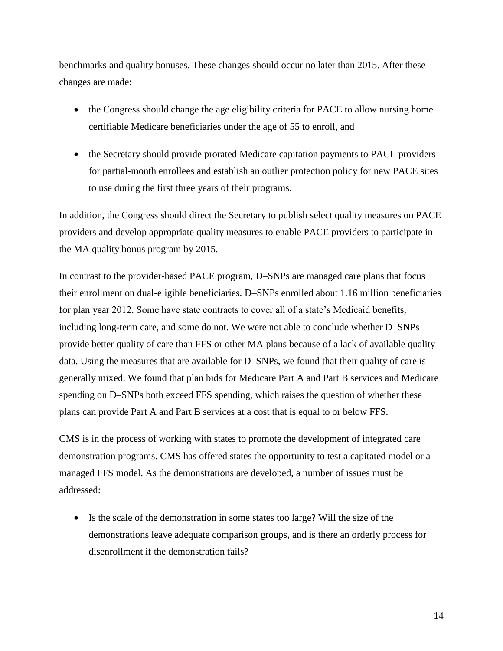benchmarks and quality bonuses. These changes should occur no later than 2015. After these changes are made:

- the Congress should change the age eligibility criteria for PACE to allow nursing home– certifiable Medicare beneficiaries under the age of 55 to enroll, and
- the Secretary should provide prorated Medicare capitation payments to PACE providers for partial-month enrollees and establish an outlier protection policy for new PACE sites to use during the first three years of their programs.

In addition, the Congress should direct the Secretary to publish select quality measures on PACE providers and develop appropriate quality measures to enable PACE providers to participate in the MA quality bonus program by 2015.

In contrast to the provider-based PACE program, D–SNPs are managed care plans that focus their enrollment on dual-eligible beneficiaries. D–SNPs enrolled about 1.16 million beneficiaries for plan year 2012. Some have state contracts to cover all of a state's Medicaid benefits, including long-term care, and some do not. We were not able to conclude whether D–SNPs provide better quality of care than FFS or other MA plans because of a lack of available quality data. Using the measures that are available for D–SNPs, we found that their quality of care is generally mixed. We found that plan bids for Medicare Part A and Part B services and Medicare spending on D–SNPs both exceed FFS spending, which raises the question of whether these plans can provide Part A and Part B services at a cost that is equal to or below FFS.

CMS is in the process of working with states to promote the development of integrated care demonstration programs. CMS has offered states the opportunity to test a capitated model or a managed FFS model. As the demonstrations are developed, a number of issues must be addressed:

 Is the scale of the demonstration in some states too large? Will the size of the demonstrations leave adequate comparison groups, and is there an orderly process for disenrollment if the demonstration fails?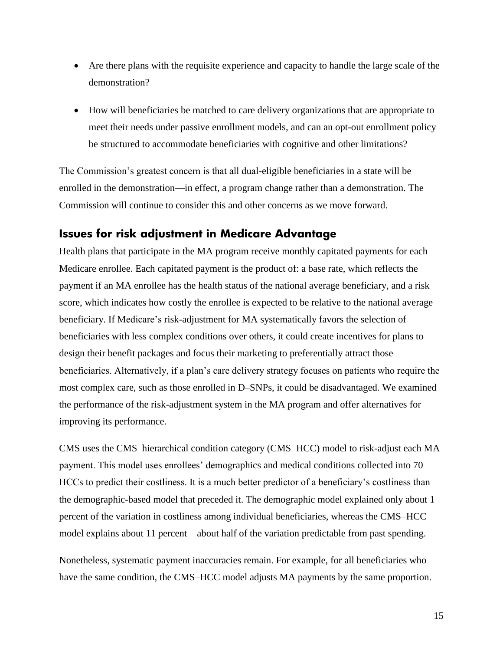- Are there plans with the requisite experience and capacity to handle the large scale of the demonstration?
- How will beneficiaries be matched to care delivery organizations that are appropriate to meet their needs under passive enrollment models, and can an opt-out enrollment policy be structured to accommodate beneficiaries with cognitive and other limitations?

The Commission's greatest concern is that all dual-eligible beneficiaries in a state will be enrolled in the demonstration—in effect, a program change rather than a demonstration. The Commission will continue to consider this and other concerns as we move forward.

## **Issues for risk adjustment in Medicare Advantage**

Health plans that participate in the MA program receive monthly capitated payments for each Medicare enrollee. Each capitated payment is the product of: a base rate, which reflects the payment if an MA enrollee has the health status of the national average beneficiary, and a risk score, which indicates how costly the enrollee is expected to be relative to the national average beneficiary. If Medicare's risk-adjustment for MA systematically favors the selection of beneficiaries with less complex conditions over others, it could create incentives for plans to design their benefit packages and focus their marketing to preferentially attract those beneficiaries. Alternatively, if a plan's care delivery strategy focuses on patients who require the most complex care, such as those enrolled in D–SNPs, it could be disadvantaged. We examined the performance of the risk-adjustment system in the MA program and offer alternatives for improving its performance.

CMS uses the CMS–hierarchical condition category (CMS–HCC) model to risk-adjust each MA payment. This model uses enrollees' demographics and medical conditions collected into 70 HCCs to predict their costliness. It is a much better predictor of a beneficiary's costliness than the demographic-based model that preceded it. The demographic model explained only about 1 percent of the variation in costliness among individual beneficiaries, whereas the CMS–HCC model explains about 11 percent—about half of the variation predictable from past spending.

Nonetheless, systematic payment inaccuracies remain. For example, for all beneficiaries who have the same condition, the CMS–HCC model adjusts MA payments by the same proportion.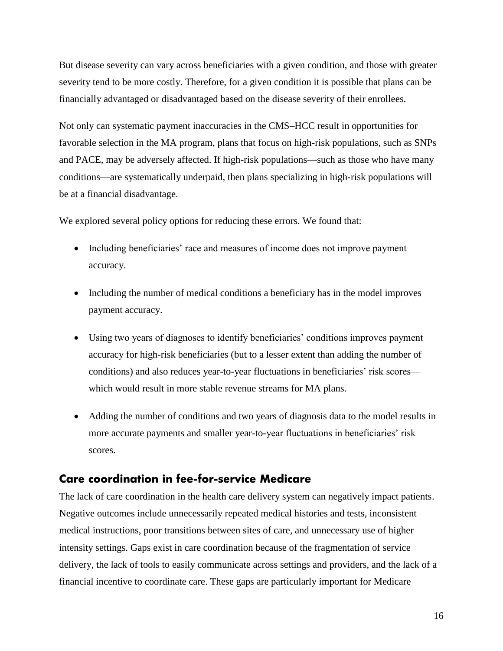But disease severity can vary across beneficiaries with a given condition, and those with greater severity tend to be more costly. Therefore, for a given condition it is possible that plans can be financially advantaged or disadvantaged based on the disease severity of their enrollees.

Not only can systematic payment inaccuracies in the CMS–HCC result in opportunities for favorable selection in the MA program, plans that focus on high-risk populations, such as SNPs and PACE, may be adversely affected. If high-risk populations—such as those who have many conditions—are systematically underpaid, then plans specializing in high-risk populations will be at a financial disadvantage.

We explored several policy options for reducing these errors. We found that:

- Including beneficiaries' race and measures of income does not improve payment accuracy.
- Including the number of medical conditions a beneficiary has in the model improves payment accuracy.
- Using two years of diagnoses to identify beneficiaries' conditions improves payment accuracy for high-risk beneficiaries (but to a lesser extent than adding the number of conditions) and also reduces year-to-year fluctuations in beneficiaries' risk scores which would result in more stable revenue streams for MA plans.
- Adding the number of conditions and two years of diagnosis data to the model results in more accurate payments and smaller year-to-year fluctuations in beneficiaries' risk scores.

# **Care coordination in fee-for-service Medicare**

The lack of care coordination in the health care delivery system can negatively impact patients. Negative outcomes include unnecessarily repeated medical histories and tests, inconsistent medical instructions, poor transitions between sites of care, and unnecessary use of higher intensity settings. Gaps exist in care coordination because of the fragmentation of service delivery, the lack of tools to easily communicate across settings and providers, and the lack of a financial incentive to coordinate care. These gaps are particularly important for Medicare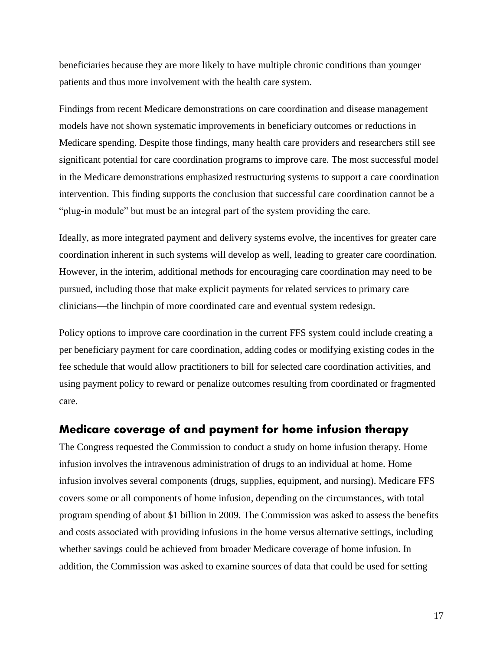beneficiaries because they are more likely to have multiple chronic conditions than younger patients and thus more involvement with the health care system.

Findings from recent Medicare demonstrations on care coordination and disease management models have not shown systematic improvements in beneficiary outcomes or reductions in Medicare spending. Despite those findings, many health care providers and researchers still see significant potential for care coordination programs to improve care. The most successful model in the Medicare demonstrations emphasized restructuring systems to support a care coordination intervention. This finding supports the conclusion that successful care coordination cannot be a "plug-in module" but must be an integral part of the system providing the care.

Ideally, as more integrated payment and delivery systems evolve, the incentives for greater care coordination inherent in such systems will develop as well, leading to greater care coordination. However, in the interim, additional methods for encouraging care coordination may need to be pursued, including those that make explicit payments for related services to primary care clinicians—the linchpin of more coordinated care and eventual system redesign.

Policy options to improve care coordination in the current FFS system could include creating a per beneficiary payment for care coordination, adding codes or modifying existing codes in the fee schedule that would allow practitioners to bill for selected care coordination activities, and using payment policy to reward or penalize outcomes resulting from coordinated or fragmented care.

#### **Medicare coverage of and payment for home infusion therapy**

The Congress requested the Commission to conduct a study on home infusion therapy. Home infusion involves the intravenous administration of drugs to an individual at home. Home infusion involves several components (drugs, supplies, equipment, and nursing). Medicare FFS covers some or all components of home infusion, depending on the circumstances, with total program spending of about \$1 billion in 2009. The Commission was asked to assess the benefits and costs associated with providing infusions in the home versus alternative settings, including whether savings could be achieved from broader Medicare coverage of home infusion. In addition, the Commission was asked to examine sources of data that could be used for setting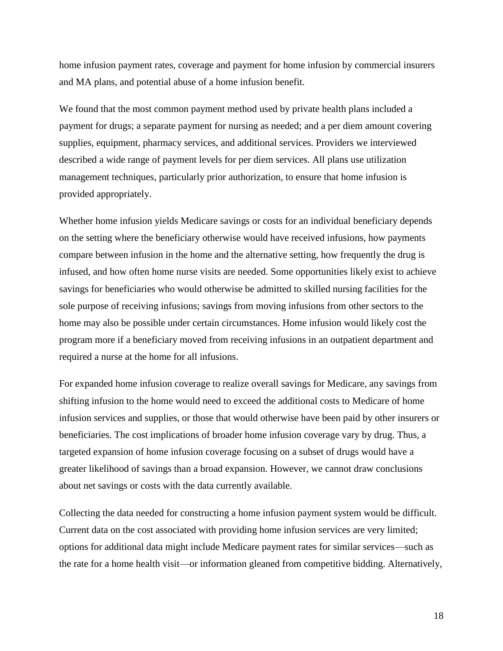home infusion payment rates, coverage and payment for home infusion by commercial insurers and MA plans, and potential abuse of a home infusion benefit.

We found that the most common payment method used by private health plans included a payment for drugs; a separate payment for nursing as needed; and a per diem amount covering supplies, equipment, pharmacy services, and additional services. Providers we interviewed described a wide range of payment levels for per diem services. All plans use utilization management techniques, particularly prior authorization, to ensure that home infusion is provided appropriately.

Whether home infusion yields Medicare savings or costs for an individual beneficiary depends on the setting where the beneficiary otherwise would have received infusions, how payments compare between infusion in the home and the alternative setting, how frequently the drug is infused, and how often home nurse visits are needed. Some opportunities likely exist to achieve savings for beneficiaries who would otherwise be admitted to skilled nursing facilities for the sole purpose of receiving infusions; savings from moving infusions from other sectors to the home may also be possible under certain circumstances. Home infusion would likely cost the program more if a beneficiary moved from receiving infusions in an outpatient department and required a nurse at the home for all infusions.

For expanded home infusion coverage to realize overall savings for Medicare, any savings from shifting infusion to the home would need to exceed the additional costs to Medicare of home infusion services and supplies, or those that would otherwise have been paid by other insurers or beneficiaries. The cost implications of broader home infusion coverage vary by drug. Thus, a targeted expansion of home infusion coverage focusing on a subset of drugs would have a greater likelihood of savings than a broad expansion. However, we cannot draw conclusions about net savings or costs with the data currently available.

Collecting the data needed for constructing a home infusion payment system would be difficult. Current data on the cost associated with providing home infusion services are very limited; options for additional data might include Medicare payment rates for similar services—such as the rate for a home health visit—or information gleaned from competitive bidding. Alternatively,